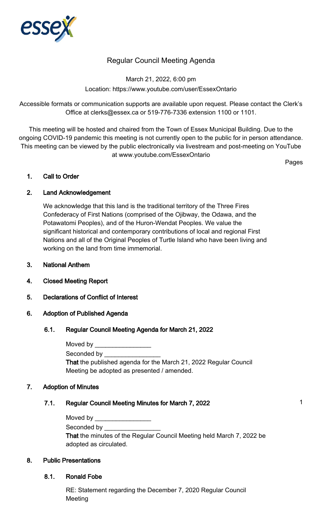

## Regular Council Meeting Agenda

March 21, 2022, 6:00 pm Location: https://www.youtube.com/user/EssexOntario

Accessible formats or communication supports are available upon request. Please contact the Clerk's Office at clerks@essex.ca or 519-776-7336 extension 1100 or 1101.

This meeting will be hosted and chaired from the Town of Essex Municipal Building. Due to the ongoing COVID-19 pandemic this meeting is not currently open to the public for in person attendance. This meeting can be viewed by the public electronically via livestream and post-meeting on YouTube at www.youtube.com/EssexOntario

Pages

#### 1. Call to Order

## 2. Land Acknowledgement

We acknowledge that this land is the traditional territory of the Three Fires Confederacy of First Nations (comprised of the Ojibway, the Odawa, and the Potawatomi Peoples), and of the Huron-Wendat Peoples. We value the significant historical and contemporary contributions of local and regional First Nations and all of the Original Peoples of Turtle Island who have been living and working on the land from time immemorial.

- 3. National Anthem
- 4. Closed Meeting Report
- 5. Declarations of Conflict of Interest

#### 6. Adoption of Published Agenda

#### 6.1. Regular Council Meeting Agenda for March 21, 2022

| Moved by                                                                |
|-------------------------------------------------------------------------|
| Seconded by <b>Seconded</b> by                                          |
| <b>That the published agenda for the March 21, 2022 Regular Council</b> |
| Meeting be adopted as presented / amended.                              |

#### 7. Adoption of Minutes

## 7.1. Regular Council Meeting Minutes for March 7, 2022 1

| Moved by |  |
|----------|--|
|          |  |

Seconded by

That the minutes of the Regular Council Meeting held March 7, 2022 be adopted as circulated.

## 8. Public Presentations

8.1. Ronald Fobe

RE: Statement regarding the December 7, 2020 Regular Council Meeting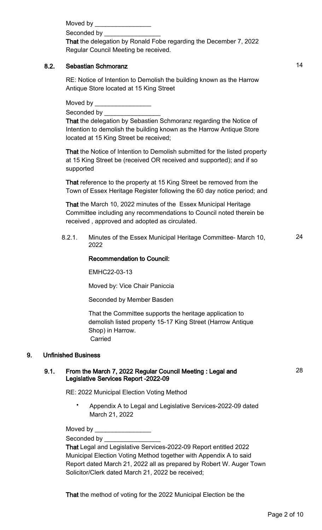Moved by

Seconded by

That the delegation by Ronald Fobe regarding the December 7, 2022 Regular Council Meeting be received.

#### 8.2. Sebastian Schmoranz 14

RE: Notice of Intention to Demolish the building known as the Harrow Antique Store located at 15 King Street

Moved by

Seconded by

That the delegation by Sebastien Schmoranz regarding the Notice of Intention to demolish the building known as the Harrow Antique Store located at 15 King Street be received;

That the Notice of Intention to Demolish submitted for the listed property at 15 King Street be (received OR received and supported); and if so supported

That reference to the property at 15 King Street be removed from the Town of Essex Heritage Register following the 60 day notice period; and

That the March 10, 2022 minutes of the Essex Municipal Heritage Committee including any recommendations to Council noted therein be received , approved and adopted as circulated.

8.2.1. Minutes of the Essex Municipal Heritage Committee- March 10, 2022 24

#### Recommendation to Council:

EMHC22-03-13

Moved by: Vice Chair Paniccia

Seconded by Member Basden

That the Committee supports the heritage application to demolish listed property 15-17 King Street (Harrow Antique Shop) in Harrow. Carried

#### 9. Unfinished Business

#### 9.1. From the March 7, 2022 Regular Council Meeting : Legal and Legislative Services Report -2022-09

RE: 2022 Municipal Election Voting Method

• Appendix A to Legal and Legislative Services-2022-09 dated March 21, 2022

Moved by

Seconded by \_

That Legal and Legislative Services-2022-09 Report entitled 2022 Municipal Election Voting Method together with Appendix A to said Report dated March 21, 2022 all as prepared by Robert W. Auger Town Solicitor/Clerk dated March 21, 2022 be received;

That the method of voting for the 2022 Municipal Election be the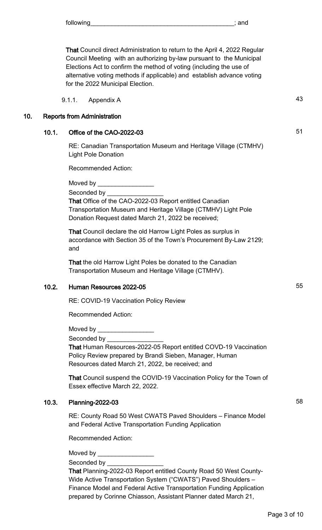That Council direct Administration to return to the April 4, 2022 Regular Council Meeting with an authorizing by-law pursuant to the Municipal Elections Act to confirm the method of voting (including the use of alternative voting methods if applicable) and establish advance voting for the 2022 Municipal Election.

9.1.1. Appendix A 43

#### 10. Reports from Administration

## 10.1. Office of the CAO-2022-03 51

RE: Canadian Transportation Museum and Heritage Village (CTMHV) Light Pole Donation

Recommended Action:

Moved by

Seconded by

That Office of the CAO-2022-03 Report entitled Canadian Transportation Museum and Heritage Village (CTMHV) Light Pole Donation Request dated March 21, 2022 be received;

That Council declare the old Harrow Light Poles as surplus in accordance with Section 35 of the Town's Procurement By-Law 2129; and

That the old Harrow Light Poles be donated to the Canadian Transportation Museum and Heritage Village (CTMHV).

## 10.2. Human Resources 2022-05 **55**

RE: COVID-19 Vaccination Policy Review

Recommended Action:

Moved by

Seconded by

That Human Resources-2022-05 Report entitled COVD-19 Vaccination Policy Review prepared by Brandi Sieben, Manager, Human Resources dated March 21, 2022, be received; and

That Council suspend the COVID-19 Vaccination Policy for the Town of Essex effective March 22, 2022.

## 10.3. Planning-2022-03 58

RE: County Road 50 West CWATS Paved Shoulders – Finance Model and Federal Active Transportation Funding Application

Recommended Action:

Moved by

Seconded by

That Planning-2022-03 Report entitled County Road 50 West County-Wide Active Transportation System ("CWATS") Paved Shoulders – Finance Model and Federal Active Transportation Funding Application prepared by Corinne Chiasson, Assistant Planner dated March 21,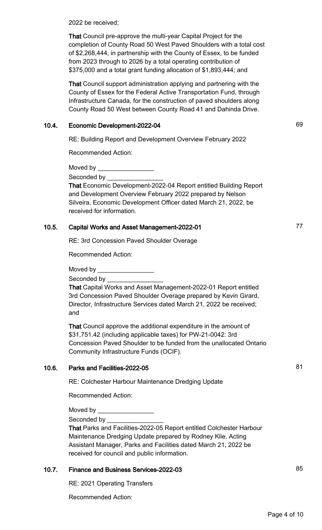2022 be received;

That Council pre-approve the multi-year Capital Project for the completion of County Road 50 West Paved Shoulders with a total cost of \$2,268,444, in partnership with the County of Essex, to be funded from 2023 through to 2026 by a total operating contribution of \$375,000 and a total grant funding allocation of \$1,893,444; and

That Council support administration applying and partnering with the County of Essex for the Federal Active Transportation Fund, through Infrastructure Canada, for the construction of paved shoulders along County Road 50 West between County Road 41 and Dahinda Drive.

## 10.4. Economic Development-2022-04 69

RE: Building Report and Development Overview February 2022

Recommended Action:

Moved by

Seconded by \_

That Economic Development-2022-04 Report entitled Building Report and Development Overview February 2022 prepared by Nelson Silveira, Economic Development Officer dated March 21, 2022, be received for information.

#### 10.5. Capital Works and Asset Management-2022-01 **10.5.** Capital Works and Asset Management-2022-01

RE: 3rd Concession Paved Shoulder Overage

Recommended Action:

Moved by  $\_\_$ 

Seconded by

That Capital Works and Asset Management-2022-01 Report entitled 3rd Concession Paved Shoulder Overage prepared by Kevin Girard, Director, Infrastructure Services dated March 21, 2022 be received; and

That Council approve the additional expenditure in the amount of \$31,751.42 (including applicable taxes) for PW-21-0042: 3rd Concession Paved Shoulder to be funded from the unallocated Ontario Community Infrastructure Funds (OCIF).

## 10.6. Parks and Facilities-2022-05 81

RE: Colchester Harbour Maintenance Dredging Update

Recommended Action:

Moved by \_\_\_\_\_\_\_\_\_\_\_\_\_\_\_\_

Seconded by

That Parks and Facilities-2022-05 Report entitled Colchester Harbour Maintenance Dredging Update prepared by Rodney Klie, Acting Assistant Manager, Parks and Facilities dated March 21, 2022 be received for council and public information.

## 10.7. Finance and Business Services-2022-03

RE: 2021 Operating Transfers

Recommended Action:

Page 4 of 10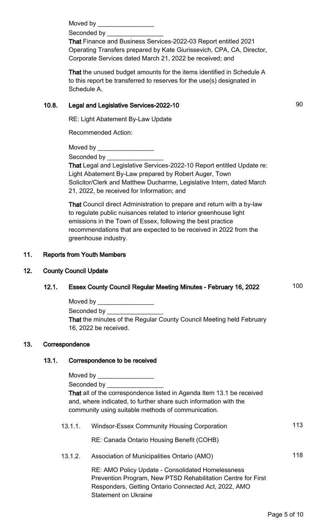Moved by **William** 

Seconded by

That Finance and Business Services-2022-03 Report entitled 2021 Operating Transfers prepared by Kate Giurissevich, CPA, CA, Director, Corporate Services dated March 21, 2022 be received; and

That the unused budget amounts for the items identified in Schedule A to this report be transferred to reserves for the use(s) designated in Schedule A.

## 10.8. Legal and Legislative Services-2022-10 90

RE: Light Abatement By-Law Update

Recommended Action:

Moved by

Seconded by

That Legal and Legislative Services-2022-10 Report entitled Update re: Light Abatement By-Law prepared by Robert Auger, Town Solicitor/Clerk and Matthew Ducharme, Legislative Intern, dated March 21, 2022, be received for Information; and

That Council direct Administration to prepare and return with a by-law to regulate public nuisances related to interior greenhouse light emissions in the Town of Essex, following the best practice recommendations that are expected to be received in 2022 from the greenhouse industry.

## 11. Reports from Youth Members

## 12. County Council Update

# 12.1. Essex County Council Regular Meeting Minutes - February 16, 2022 100 Moved by \_\_\_\_\_\_\_\_\_\_\_\_\_\_\_\_ Seconded by **William** That the minutes of the Regular County Council Meeting held February 16, 2022 be received. 13. Correspondence 13.1. Correspondence to be received Moved by Seconded by

That all of the correspondence listed in Agenda Item 13.1 be received and, where indicated, to further share such information with the community using suitable methods of communication.

13.1.1. Windsor-Essex Community Housing Corporation 113

RE: Canada Ontario Housing Benefit (COHB)

13.1.2. Association of Municipalities Ontario (AMO) 118

RE: AMO Policy Update - Consolidated Homelessness Prevention Program, New PTSD Rehabilitation Centre for First Responders, Getting Ontario Connected Act, 2022, AMO Statement on Ukraine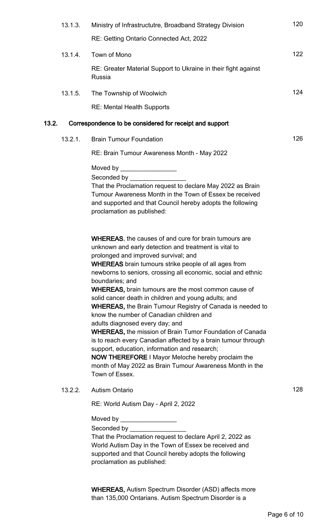| 13.1.3. | Ministry of Infrastructutre, Broadband Strategy Division                                                                                                                                                                                                                                                                                                                                                                                                                                                                                                                                                                                                                                                                                                                                                                                                                                                                 | 120 |
|---------|--------------------------------------------------------------------------------------------------------------------------------------------------------------------------------------------------------------------------------------------------------------------------------------------------------------------------------------------------------------------------------------------------------------------------------------------------------------------------------------------------------------------------------------------------------------------------------------------------------------------------------------------------------------------------------------------------------------------------------------------------------------------------------------------------------------------------------------------------------------------------------------------------------------------------|-----|
|         | RE: Getting Ontario Connected Act, 2022                                                                                                                                                                                                                                                                                                                                                                                                                                                                                                                                                                                                                                                                                                                                                                                                                                                                                  |     |
| 13.1.4. | Town of Mono                                                                                                                                                                                                                                                                                                                                                                                                                                                                                                                                                                                                                                                                                                                                                                                                                                                                                                             | 122 |
|         | RE: Greater Material Support to Ukraine in their fight against<br>Russia                                                                                                                                                                                                                                                                                                                                                                                                                                                                                                                                                                                                                                                                                                                                                                                                                                                 |     |
| 13.1.5. | The Township of Woolwich                                                                                                                                                                                                                                                                                                                                                                                                                                                                                                                                                                                                                                                                                                                                                                                                                                                                                                 | 124 |
|         | <b>RE: Mental Health Supports</b>                                                                                                                                                                                                                                                                                                                                                                                                                                                                                                                                                                                                                                                                                                                                                                                                                                                                                        |     |
| 13.2.   | Correspondence to be considered for receipt and support                                                                                                                                                                                                                                                                                                                                                                                                                                                                                                                                                                                                                                                                                                                                                                                                                                                                  |     |
| 13.2.1. | <b>Brain Tumour Foundation</b>                                                                                                                                                                                                                                                                                                                                                                                                                                                                                                                                                                                                                                                                                                                                                                                                                                                                                           | 126 |
|         | RE: Brain Tumour Awareness Month - May 2022                                                                                                                                                                                                                                                                                                                                                                                                                                                                                                                                                                                                                                                                                                                                                                                                                                                                              |     |
|         | Moved by _____________________                                                                                                                                                                                                                                                                                                                                                                                                                                                                                                                                                                                                                                                                                                                                                                                                                                                                                           |     |
|         | Seconded by ______________                                                                                                                                                                                                                                                                                                                                                                                                                                                                                                                                                                                                                                                                                                                                                                                                                                                                                               |     |
|         | That the Proclamation request to declare May 2022 as Brain<br>Tumour Awareness Month in the Town of Essex be received<br>and supported and that Council hereby adopts the following<br>proclamation as published:                                                                                                                                                                                                                                                                                                                                                                                                                                                                                                                                                                                                                                                                                                        |     |
|         | <b>WHEREAS, the causes of and cure for brain tumours are</b><br>unknown and early detection and treatment is vital to<br>prolonged and improved survival; and<br><b>WHEREAS</b> brain tumours strike people of all ages from<br>newborns to seniors, crossing all economic, social and ethnic<br>boundaries; and<br><b>WHEREAS, brain tumours are the most common cause of</b><br>solid cancer death in children and young adults; and<br><b>WHEREAS, the Brain Tumour Registry of Canada is needed to</b><br>know the number of Canadian children and<br>adults diagnosed every day; and<br><b>WHEREAS, the mission of Brain Tumor Foundation of Canada</b><br>is to reach every Canadian affected by a brain tumour through<br>support, education, information and research;<br><b>NOW THEREFORE I Mayor Meloche hereby proclaim the</b><br>month of May 2022 as Brain Tumour Awareness Month in the<br>Town of Essex. |     |
| 13.2.2. | <b>Autism Ontario</b>                                                                                                                                                                                                                                                                                                                                                                                                                                                                                                                                                                                                                                                                                                                                                                                                                                                                                                    | 128 |
|         | RE: World Autism Day - April 2, 2022                                                                                                                                                                                                                                                                                                                                                                                                                                                                                                                                                                                                                                                                                                                                                                                                                                                                                     |     |
|         | Moved by $\sqrt{2\pi}$<br>That the Proclamation request to declare April 2, 2022 as<br>World Autism Day in the Town of Essex be received and<br>supported and that Council hereby adopts the following<br>proclamation as published:                                                                                                                                                                                                                                                                                                                                                                                                                                                                                                                                                                                                                                                                                     |     |

WHEREAS, Autism Spectrum Disorder (ASD) affects more than 135,000 Ontarians. Autism Spectrum Disorder is a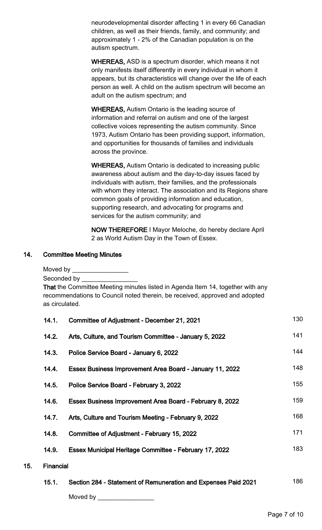neurodevelopmental disorder affecting 1 in every 66 Canadian children, as well as their friends, family, and community; and approximately 1 - 2% of the Canadian population is on the autism spectrum.

WHEREAS, ASD is a spectrum disorder, which means it not only manifests itself differently in every individual in whom it appears, but its characteristics will change over the life of each person as well. A child on the autism spectrum will become an adult on the autism spectrum; and

WHEREAS, Autism Ontario is the leading source of information and referral on autism and one of the largest collective voices representing the autism community. Since 1973, Autism Ontario has been providing support, information, and opportunities for thousands of families and individuals across the province.

WHEREAS, Autism Ontario is dedicated to increasing public awareness about autism and the day-to-day issues faced by individuals with autism, their families, and the professionals with whom they interact. The association and its Regions share common goals of providing information and education, supporting research, and advocating for programs and services for the autism community; and

NOW THEREFORE I Mayor Meloche, do hereby declare April 2 as World Autism Day in the Town of Essex.

#### 14. Committee Meeting Minutes

Moved by \_\_\_\_\_\_

 $15.$ 

Seconded by

That the Committee Meeting minutes listed in Agenda Item 14, together with any recommendations to Council noted therein, be received, approved and adopted as circulated.

|                  | 14.1. | Committee of Adjustment - December 21, 2021              | 130 |  |
|------------------|-------|----------------------------------------------------------|-----|--|
|                  | 14.2. | Arts, Culture, and Tourism Committee - January 5, 2022   | 141 |  |
|                  | 14.3. | Police Service Board - January 6, 2022                   | 144 |  |
|                  | 14.4. | Essex Business Improvement Area Board - January 11, 2022 | 148 |  |
|                  | 14.5. | Police Service Board - February 3, 2022                  | 155 |  |
|                  | 14.6. | Essex Business Improvement Area Board - February 8, 2022 | 159 |  |
|                  | 14.7. | Arts, Culture and Tourism Meeting - February 9, 2022     | 168 |  |
|                  | 14.8. | Committee of Adjustment - February 15, 2022              | 171 |  |
|                  | 14.9. | Essex Municipal Heritage Committee - February 17, 2022   | 183 |  |
| <b>Financial</b> |       |                                                          |     |  |
|                  |       |                                                          | 10C |  |

15.1. Section 284 - Statement of Remuneration and Expenses Paid 2021 186 Moved by \_\_\_\_\_\_\_\_\_\_\_\_\_\_\_\_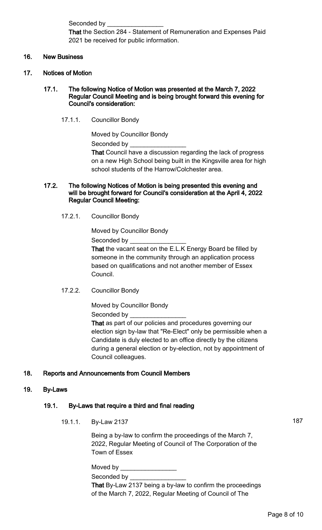Seconded by

That the Section 284 - Statement of Remuneration and Expenses Paid 2021 be received for public information.

#### 16. New Business

- 17. Notices of Motion
	- 17.1. The following Notice of Motion was presented at the March 7, 2022 Regular Council Meeting and is being brought forward this evening for Council's consideration:
		- 17.1.1. Councillor Bondy

Moved by Councillor Bondy Seconded by That Council have a discussion regarding the lack of progress

on a new High School being built in the Kingsville area for high school students of the Harrow/Colchester area.

#### 17.2. The following Notices of Motion is being presented this evening and will be brought forward for Council's consideration at the April 4, 2022 Regular Council Meeting:

17.2.1. Councillor Bondy

Moved by Councillor Bondy Seconded by

That the vacant seat on the E.L.K Energy Board be filled by someone in the community through an application process based on qualifications and not another member of Essex Council.

17.2.2. Councillor Bondy

Moved by Councillor Bondy

Seconded by

That as part of our policies and procedures governing our election sign by-law that "Re-Elect" only be permissible when a Candidate is duly elected to an office directly by the citizens during a general election or by-election, not by appointment of Council colleagues.

## 18. Reports and Announcements from Council Members

#### 19. By-Laws

## 19.1. By-Laws that require a third and final reading

19.1.1. By-Law 2137 187

Being a by-law to confirm the proceedings of the March 7, 2022, Regular Meeting of Council of The Corporation of the Town of Essex

Moved by Seconded by That By-Law 2137 being a by-law to confirm the proceedings of the March 7, 2022, Regular Meeting of Council of The

Page 8 of 10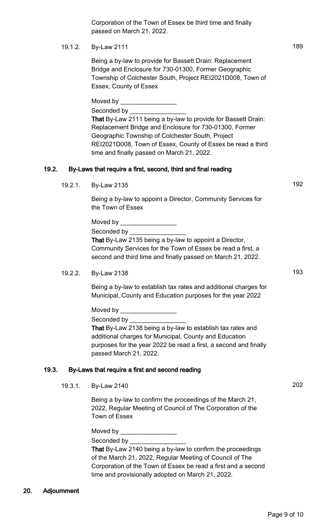# 19.1.2. By-Law 2111 189

Being a by-law to provide for Bassett Drain: Replacement Bridge and Enclosure for 730-01300, Former Geographic Township of Colchester South, Project REI2021D008, Town of Essex, County of Essex

Moved by  $\_\_$ Seconded by That By-Law 2111 being a by-law to provide for Bassett Drain: Replacement Bridge and Enclosure for 730-01300, Former Geographic Township of Colchester South, Project REI2021D008, Town of Essex, County of Essex be read a third time and finally passed on March 21, 2022.

# 19.2. By-Laws that require a first, second, third and final reading

19.2.1. By-Law 2135 192

Being a by-law to appoint a Director, Community Services for the Town of Essex

| Moved by                                                    |
|-------------------------------------------------------------|
| Seconded by <b>Seconded</b> by                              |
| That By-Law 2135 being a by-law to appoint a Director,      |
| Community Services for the Town of Essex be read a first, a |
| second and third time and finally passed on March 21, 2022. |

# 19.2.2. By-Law 2138 193

Being a by-law to establish tax rates and additional charges for Municipal, County and Education purposes for the year 2022

Moved by \_

Seconded by

That By-Law 2138 being a by-law to establish tax rates and additional charges for Municipal, County and Education purposes for the year 2022 be read a first, a second and finally passed March 21, 2022.

# 19.3. By-Laws that require a first and second reading

19.3.1. By-Law 2140 202

Being a by-law to confirm the proceedings of the March 21, 2022, Regular Meeting of Council of The Corporation of the Town of Essex

Moved by

Seconded by

That By-Law 2140 being a by-law to confirm the proceedings of the March 21, 2022, Regular Meeting of Council of The Corporation of the Town of Essex be read a first and a second time and provisionally adopted on March 21, 2022.